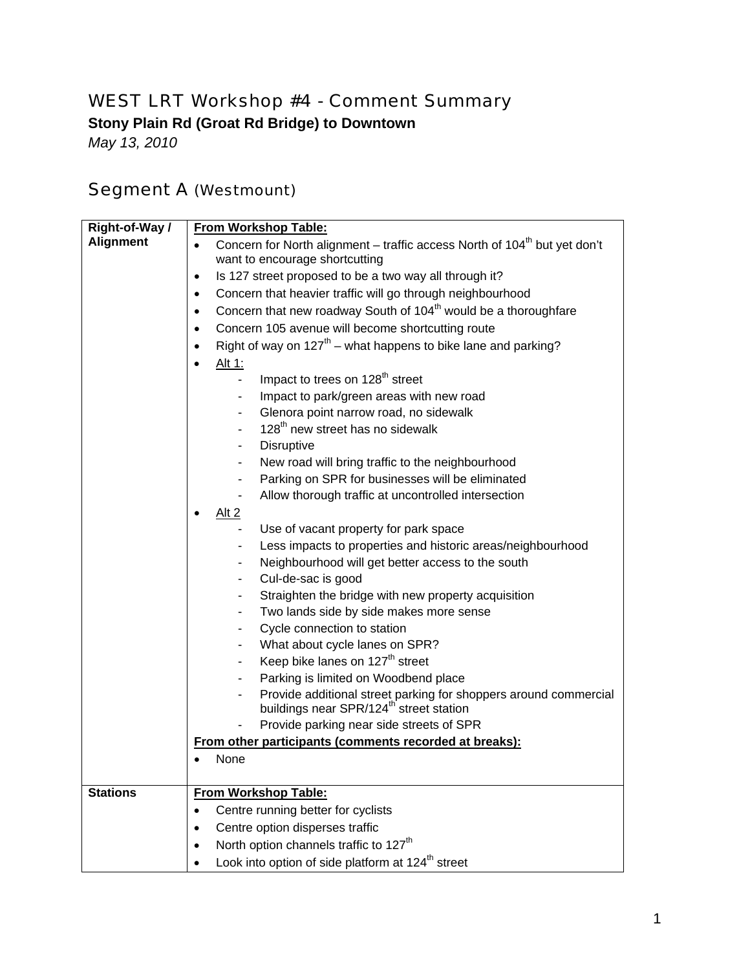## WEST LRT Workshop #4 - Comment Summary

**Stony Plain Rd (Groat Rd Bridge) to Downtown** 

*May 13, 2010* 

## Segment A (Westmount)

| <b>Alignment</b><br>Concern for North alignment – traffic access North of 104 <sup>th</sup> but yet don't<br>want to encourage shortcutting<br>Is 127 street proposed to be a two way all through it?<br>$\bullet$<br>Concern that heavier traffic will go through neighbourhood<br>$\bullet$<br>Concern that new roadway South of 104 <sup>th</sup> would be a thoroughfare<br>$\bullet$ |
|-------------------------------------------------------------------------------------------------------------------------------------------------------------------------------------------------------------------------------------------------------------------------------------------------------------------------------------------------------------------------------------------|
|                                                                                                                                                                                                                                                                                                                                                                                           |
|                                                                                                                                                                                                                                                                                                                                                                                           |
|                                                                                                                                                                                                                                                                                                                                                                                           |
|                                                                                                                                                                                                                                                                                                                                                                                           |
|                                                                                                                                                                                                                                                                                                                                                                                           |
| Concern 105 avenue will become shortcutting route<br>$\bullet$                                                                                                                                                                                                                                                                                                                            |
| Right of way on $127^{th}$ – what happens to bike lane and parking?<br>$\bullet$                                                                                                                                                                                                                                                                                                          |
| Alt 1:<br>$\bullet$                                                                                                                                                                                                                                                                                                                                                                       |
| Impact to trees on 128 <sup>th</sup> street<br>$\blacksquare$                                                                                                                                                                                                                                                                                                                             |
| Impact to park/green areas with new road<br>$\blacksquare$                                                                                                                                                                                                                                                                                                                                |
| Glenora point narrow road, no sidewalk<br>$\sim$                                                                                                                                                                                                                                                                                                                                          |
| 128 <sup>th</sup> new street has no sidewalk                                                                                                                                                                                                                                                                                                                                              |
| Disruptive                                                                                                                                                                                                                                                                                                                                                                                |
| New road will bring traffic to the neighbourhood                                                                                                                                                                                                                                                                                                                                          |
| Parking on SPR for businesses will be eliminated<br>$\blacksquare$                                                                                                                                                                                                                                                                                                                        |
| Allow thorough traffic at uncontrolled intersection                                                                                                                                                                                                                                                                                                                                       |
| Alt 2                                                                                                                                                                                                                                                                                                                                                                                     |
| Use of vacant property for park space<br>$\blacksquare$                                                                                                                                                                                                                                                                                                                                   |
| Less impacts to properties and historic areas/neighbourhood<br>$\overline{\phantom{a}}$                                                                                                                                                                                                                                                                                                   |
| Neighbourhood will get better access to the south                                                                                                                                                                                                                                                                                                                                         |
| Cul-de-sac is good<br>$\overline{\phantom{a}}$                                                                                                                                                                                                                                                                                                                                            |
| Straighten the bridge with new property acquisition<br>۰                                                                                                                                                                                                                                                                                                                                  |
| Two lands side by side makes more sense<br>$\blacksquare$                                                                                                                                                                                                                                                                                                                                 |
| Cycle connection to station<br>$\blacksquare$                                                                                                                                                                                                                                                                                                                                             |
| What about cycle lanes on SPR?<br>$\overline{\phantom{a}}$                                                                                                                                                                                                                                                                                                                                |
| Keep bike lanes on 127 <sup>th</sup> street<br>$\blacksquare$                                                                                                                                                                                                                                                                                                                             |
| Parking is limited on Woodbend place                                                                                                                                                                                                                                                                                                                                                      |
| Provide additional street parking for shoppers around commercial                                                                                                                                                                                                                                                                                                                          |
| buildings near SPR/124 <sup>th'</sup> street station                                                                                                                                                                                                                                                                                                                                      |
| Provide parking near side streets of SPR                                                                                                                                                                                                                                                                                                                                                  |
| From other participants (comments recorded at breaks):                                                                                                                                                                                                                                                                                                                                    |
| None                                                                                                                                                                                                                                                                                                                                                                                      |
| <b>From Workshop Table:</b><br><b>Stations</b>                                                                                                                                                                                                                                                                                                                                            |
| Centre running better for cyclists<br>$\bullet$                                                                                                                                                                                                                                                                                                                                           |
| Centre option disperses traffic                                                                                                                                                                                                                                                                                                                                                           |
| North option channels traffic to 127 <sup>th</sup>                                                                                                                                                                                                                                                                                                                                        |
| Look into option of side platform at 124 <sup>th</sup> street                                                                                                                                                                                                                                                                                                                             |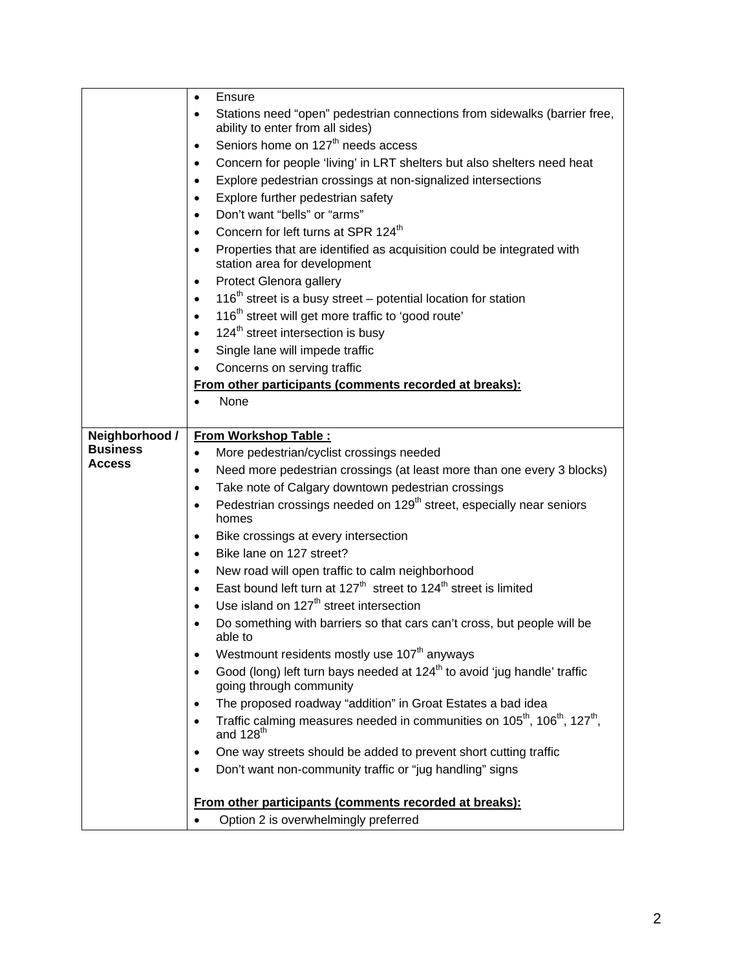|                 | Ensure<br>$\bullet$                                                                                                                    |
|-----------------|----------------------------------------------------------------------------------------------------------------------------------------|
|                 | Stations need "open" pedestrian connections from sidewalks (barrier free,<br>$\bullet$                                                 |
|                 | ability to enter from all sides)                                                                                                       |
|                 | Seniors home on 127 <sup>th</sup> needs access<br>$\bullet$                                                                            |
|                 | Concern for people 'living' in LRT shelters but also shelters need heat<br>$\bullet$                                                   |
|                 | Explore pedestrian crossings at non-signalized intersections<br>٠                                                                      |
|                 | Explore further pedestrian safety<br>$\bullet$                                                                                         |
|                 | Don't want "bells" or "arms"<br>٠                                                                                                      |
|                 | Concern for left turns at SPR 124 <sup>th</sup><br>$\bullet$                                                                           |
|                 | Properties that are identified as acquisition could be integrated with<br>$\bullet$<br>station area for development                    |
|                 | Protect Glenora gallery<br>$\bullet$                                                                                                   |
|                 | 116 <sup>th</sup> street is a busy street – potential location for station<br>$\bullet$                                                |
|                 | 116 <sup>th</sup> street will get more traffic to 'good route'<br>$\bullet$                                                            |
|                 | 124 <sup>th</sup> street intersection is busy<br>$\bullet$                                                                             |
|                 | Single lane will impede traffic<br>$\bullet$                                                                                           |
|                 | Concerns on serving traffic                                                                                                            |
|                 | From other participants (comments recorded at breaks):                                                                                 |
|                 | None<br>$\bullet$                                                                                                                      |
|                 |                                                                                                                                        |
| Neighborhood /  | <b>From Workshop Table:</b>                                                                                                            |
| <b>Business</b> | More pedestrian/cyclist crossings needed<br>$\bullet$                                                                                  |
| Access          | Need more pedestrian crossings (at least more than one every 3 blocks)<br>$\bullet$                                                    |
|                 | Take note of Calgary downtown pedestrian crossings<br>$\bullet$                                                                        |
|                 | Pedestrian crossings needed on 129 <sup>th</sup> street, especially near seniors<br>$\bullet$                                          |
|                 | homes                                                                                                                                  |
|                 | Bike crossings at every intersection<br>$\bullet$                                                                                      |
|                 | Bike lane on 127 street?<br>$\bullet$                                                                                                  |
|                 | New road will open traffic to calm neighborhood<br>$\bullet$                                                                           |
|                 | East bound left turn at 127 <sup>th</sup> street to 124 <sup>th</sup> street is limited<br>$\bullet$                                   |
|                 | Use island on 127 <sup>th</sup> street intersection<br>$\bullet$                                                                       |
|                 | Do something with barriers so that cars can't cross, but people will be<br>able to:                                                    |
|                 | Westmount residents mostly use 107 <sup>th</sup> anyways<br>$\bullet$                                                                  |
|                 | Good (long) left turn bays needed at 124 <sup>th</sup> to avoid 'jug handle' traffic<br>$\bullet$<br>going through community           |
|                 | The proposed roadway "addition" in Groat Estates a bad idea<br>٠                                                                       |
|                 | Traffic calming measures needed in communities on 105 <sup>th</sup> , 106 <sup>th</sup> , 127 <sup>th</sup> ,<br>and 128 <sup>th</sup> |
|                 | One way streets should be added to prevent short cutting traffic<br>$\bullet$                                                          |
|                 | Don't want non-community traffic or "jug handling" signs                                                                               |
|                 |                                                                                                                                        |
|                 | From other participants (comments recorded at breaks):                                                                                 |
|                 | Option 2 is overwhelmingly preferred                                                                                                   |